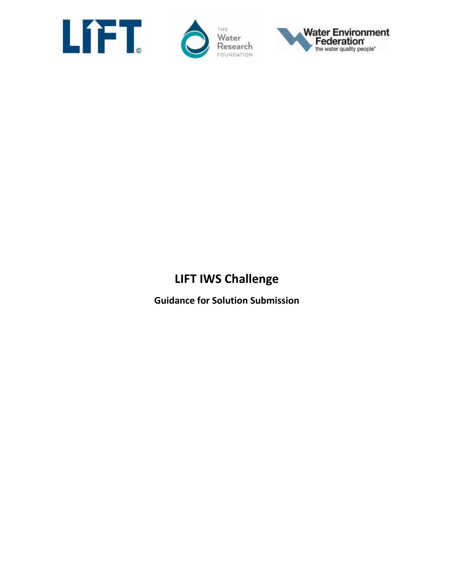





# **LIFT IWS Challenge**

**Guidance for Solution Submission**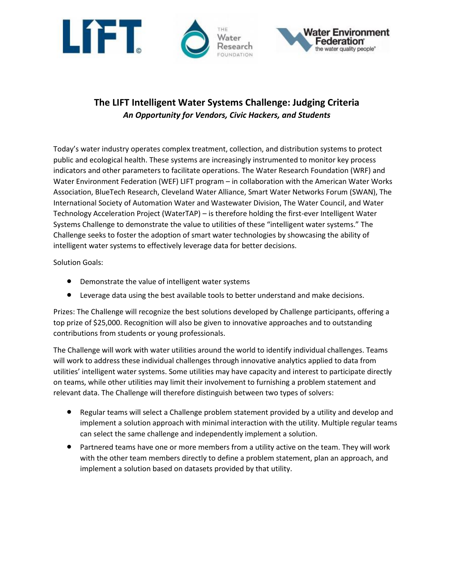

## **The LIFT Intelligent Water Systems Challenge: Judging Criteria**  *An Opportunity for Vendors, Civic Hackers, and Students*

Today's water industry operates complex treatment, collection, and distribution systems to protect public and ecological health. These systems are increasingly instrumented to monitor key process indicators and other parameters to facilitate operations. The Water Research Foundation (WRF) and Water Environment Federation (WEF) LIFT program – in collaboration with the American Water Works Association, BlueTech Research, Cleveland Water Alliance, Smart Water Networks Forum (SWAN), The International Society of Automation Water and Wastewater Division, The Water Council, and Water Technology Acceleration Project (WaterTAP) – is therefore holding the first-ever Intelligent Water Systems Challenge to demonstrate the value to utilities of these "intelligent water systems." The Challenge seeks to foster the adoption of smart water technologies by showcasing the ability of intelligent water systems to effectively leverage data for better decisions.

Solution Goals:

- Demonstrate the value of intelligent water systems
- Leverage data using the best available tools to better understand and make decisions.

Prizes: The Challenge will recognize the best solutions developed by Challenge participants, offering a top prize of \$25,000. Recognition will also be given to innovative approaches and to outstanding contributions from students or young professionals.

The Challenge will work with water utilities around the world to identify individual challenges. Teams will work to address these individual challenges through innovative analytics applied to data from utilities' intelligent water systems. Some utilities may have capacity and interest to participate directly on teams, while other utilities may limit their involvement to furnishing a problem statement and relevant data. The Challenge will therefore distinguish between two types of solvers:

- Regular teams will select a Challenge problem statement provided by a utility and develop and implement a solution approach with minimal interaction with the utility. Multiple regular teams can select the same challenge and independently implement a solution.
- Partnered teams have one or more members from a utility active on the team. They will work with the other team members directly to define a problem statement, plan an approach, and implement a solution based on datasets provided by that utility.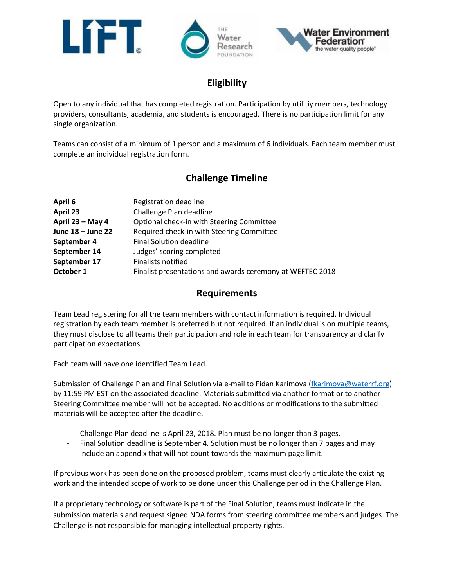

### **Eligibility**

Open to any individual that has completed registration. Participation by utilitiy members, technology providers, consultants, academia, and students is encouraged. There is no participation limit for any single organization.

Teams can consist of a minimum of 1 person and a maximum of 6 individuals. Each team member must complete an individual registration form.

## **Challenge Timeline**

| April 6           | Registration deadline                                     |
|-------------------|-----------------------------------------------------------|
| April 23          | Challenge Plan deadline                                   |
| April 23 - May 4  | Optional check-in with Steering Committee                 |
| June 18 - June 22 | Required check-in with Steering Committee                 |
| September 4       | <b>Final Solution deadline</b>                            |
| September 14      | Judges' scoring completed                                 |
| September 17      | <b>Finalists notified</b>                                 |
| October 1         | Finalist presentations and awards ceremony at WEFTEC 2018 |
|                   |                                                           |

#### **Requirements**

Team Lead registering for all the team members with contact information is required. Individual registration by each team member is preferred but not required. If an individual is on multiple teams, they must disclose to all teams their participation and role in each team for transparency and clarify participation expectations.

Each team will have one identified Team Lead.

Submission of Challenge Plan and Final Solution via e-mail to Fidan Karimova [\(fkarimova@waterrf.org\)](mailto:fkarimova@waterrf.org) by 11:59 PM EST on the associated deadline. Materials submitted via another format or to another Steering Committee member will not be accepted. No additions or modifications to the submitted materials will be accepted after the deadline.

- Challenge Plan deadline is April 23, 2018. Plan must be no longer than 3 pages.
- Final Solution deadline is September 4. Solution must be no longer than 7 pages and may include an appendix that will not count towards the maximum page limit.

If previous work has been done on the proposed problem, teams must clearly articulate the existing work and the intended scope of work to be done under this Challenge period in the Challenge Plan.

If a proprietary technology or software is part of the Final Solution, teams must indicate in the submission materials and request signed NDA forms from steering committee members and judges. The Challenge is not responsible for managing intellectual property rights.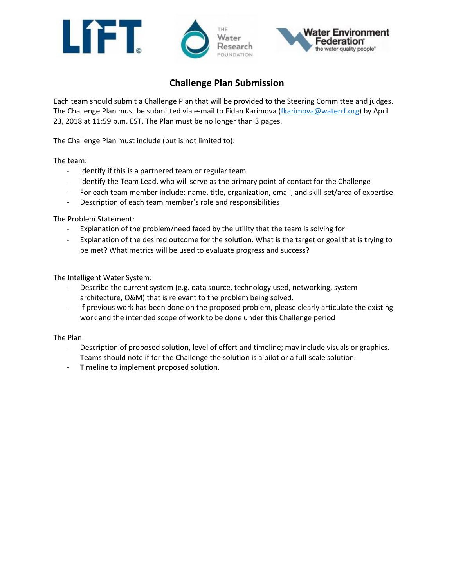





## **Challenge Plan Submission**

Each team should submit a Challenge Plan that will be provided to the Steering Committee and judges. The Challenge Plan must be submitted via e-mail to Fidan Karimova [\(fkarimova@waterrf.org\)](mailto:fkarimova@waterrf.org) by April 23, 2018 at 11:59 p.m. EST. The Plan must be no longer than 3 pages.

The Challenge Plan must include (but is not limited to):

The team:

- Identify if this is a partnered team or regular team
- Identify the Team Lead, who will serve as the primary point of contact for the Challenge
- For each team member include: name, title, organization, email, and skill-set/area of expertise
- Description of each team member's role and responsibilities

The Problem Statement:

- Explanation of the problem/need faced by the utility that the team is solving for
- Explanation of the desired outcome for the solution. What is the target or goal that is trying to be met? What metrics will be used to evaluate progress and success?

The Intelligent Water System:

- Describe the current system (e.g. data source, technology used, networking, system architecture, O&M) that is relevant to the problem being solved.
- If previous work has been done on the proposed problem, please clearly articulate the existing work and the intended scope of work to be done under this Challenge period

The Plan:

- Description of proposed solution, level of effort and timeline; may include visuals or graphics. Teams should note if for the Challenge the solution is a pilot or a full-scale solution.
- Timeline to implement proposed solution.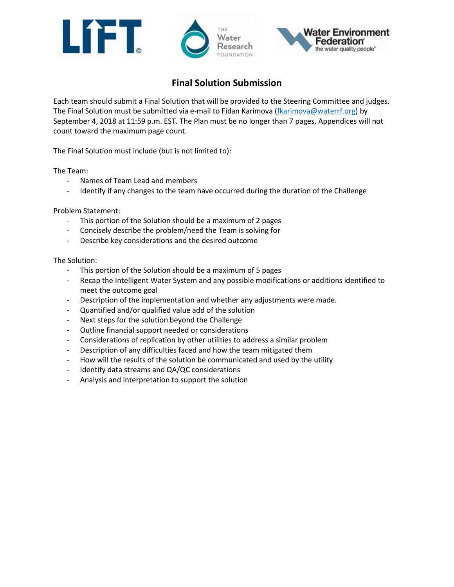





## **Final Solution Submission**

Each team should submit a Final Solution that will be provided to the Steering Committee and judges. The Final Solution must be submitted via e-mail to Fidan Karimova [\(fkarimova@waterrf.org\)](mailto:fkarimova@waterrf.org) by September 4, 2018 at 11:59 p.m. EST. The Plan must be no longer than 7 pages. Appendices will not count toward the maximum page count.

The Final Solution must include (but is not limited to):

The Team:

- Names of Team Lead and members
- Identify if any changes to the team have occurred during the duration of the Challenge

Problem Statement:

- This portion of the Solution should be a maximum of 2 pages
- Concisely describe the problem/need the Team is solving for
- Describe key considerations and the desired outcome

The Solution:

- This portion of the Solution should be a maximum of 5 pages
- Recap the Intelligent Water System and any possible modifications or additions identified to meet the outcome goal
- Description of the implementation and whether any adjustments were made.
- Quantified and/or qualified value add of the solution
- Next steps for the solution beyond the Challenge
- Outline financial support needed or considerations
- Considerations of replication by other utilities to address a similar problem
- Description of any difficulties faced and how the team mitigated them
- How will the results of the solution be communicated and used by the utility
- Identify data streams and QA/QC considerations
- Analysis and interpretation to support the solution